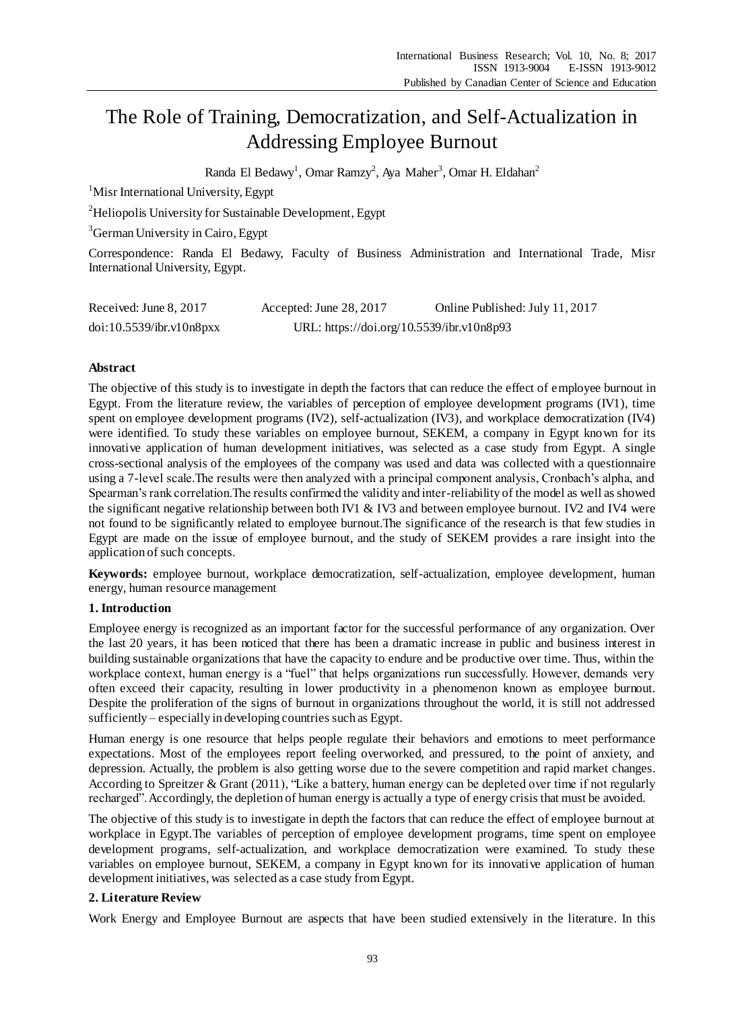# The Role of Training, Democratization, and Self-Actualization in Addressing Employee Burnout

Randa El Bedawy<sup>1</sup>, Omar Ramzy<sup>2</sup>, Aya Maher<sup>3</sup>, Omar H. Eldahan<sup>2</sup>

<sup>1</sup>Misr International University, Egypt

<sup>2</sup>Heliopolis University for Sustainable Development, Egypt

<sup>3</sup>German University in Cairo, Egypt

Correspondence: Randa El Bedawy, Faculty of Business Administration and International Trade, Misr International University, Egypt.

| Received: June $8, 2017$ | Accepted: June 28, 2017                   | Online Published: July 11, 2017 |
|--------------------------|-------------------------------------------|---------------------------------|
| doi:10.5539/ibr.v10n8pxx | URL: https://doi.org/10.5539/ibr.v10n8p93 |                                 |

# **Abstract**

The objective of this study is to investigate in depth the factors that can reduce the effect of employee burnout in Egypt. From the literature review, the variables of perception of employee development programs (IV1), time spent on employee development programs (IV2), self-actualization (IV3), and workplace democratization (IV4) were identified. To study these variables on employee burnout, SEKEM, a company in Egypt known for its innovative application of human development initiatives, was selected as a case study from Egypt. A single cross-sectional analysis of the employees of the company was used and data was collected with a questionnaire using a 7-level scale.The results were then analyzed with a principal component analysis, Cronbach's alpha, and Spearman's rank correlation.The results confirmed the validity and inter-reliability of the model as well as showed the significant negative relationship between both IV1 & IV3 and between employee burnout. IV2 and IV4 were not found to be significantly related to employee burnout.The significance of the research is that few studies in Egypt are made on the issue of employee burnout, and the study of SEKEM provides a rare insight into the application of such concepts.

**Keywords:** employee burnout, workplace democratization, self-actualization, employee development, human energy, human resource management

# **1. Introduction**

Employee energy is recognized as an important factor for the successful performance of any organization. Over the last 20 years, it has been noticed that there has been a dramatic increase in public and business interest in building sustainable organizations that have the capacity to endure and be productive over time. Thus, within the workplace context, human energy is a "fuel" that helps organizations run successfully. However, demands very often exceed their capacity, resulting in lower productivity in a phenomenon known as employee burnout. Despite the proliferation of the signs of burnout in organizations throughout the world, it is still not addressed sufficiently – especially in developing countries such as Egypt.

Human energy is one resource that helps people regulate their behaviors and emotions to meet performance expectations. Most of the employees report feeling overworked, and pressured, to the point of anxiety, and depression. Actually, the problem is also getting worse due to the severe competition and rapid market changes. According to Spreitzer & Grant (2011), "Like a battery, human energy can be depleted over time if not regularly recharged".Accordingly, the depletion of human energy is actually a type of energy crisis that must be avoided.

The objective of this study is to investigate in depth the factors that can reduce the effect of employee burnout at workplace in Egypt.The variables of perception of employee development programs, time spent on employee development programs, self-actualization, and workplace democratization were examined. To study these variables on employee burnout, SEKEM, a company in Egypt known for its innovative application of human development initiatives, was selected as a case study from Egypt.

# **2. Literature Review**

Work Energy and Employee Burnout are aspects that have been studied extensively in the literature. In this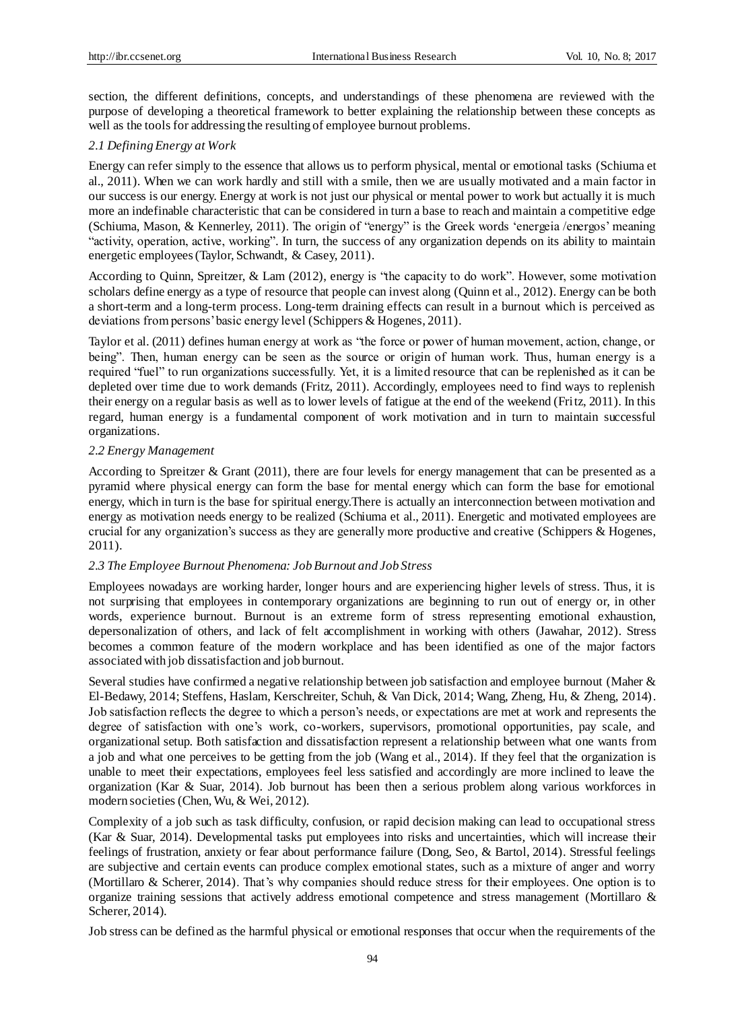section, the different definitions, concepts, and understandings of these phenomena are reviewed with the purpose of developing a theoretical framework to better explaining the relationship between these concepts as well as the tools for addressing the resulting of employee burnout problems.

# *2.1 Defining Energy at Work*

Energy can refer simply to the essence that allows us to perform physical, mental or emotional tasks (Schiuma et al., 2011). When we can work hardly and still with a smile, then we are usually motivated and a main factor in our success is our energy. Energy at work is not just our physical or mental power to work but actually it is much more an indefinable characteristic that can be considered in turn a base to reach and maintain a competitive edge (Schiuma, Mason, & Kennerley, 2011). The origin of "energy" is the Greek words 'energeia /energos' meaning "activity, operation, active, working". In turn, the success of any organization depends on its ability to maintain energetic employees (Taylor, Schwandt, & Casey, 2011).

According to Quinn, Spreitzer, & Lam (2012), energy is "the capacity to do work". However, some motivation scholars define energy as a type of resource that people can invest along (Quinn et al., 2012). Energy can be both a short-term and a long-term process. Long-term draining effects can result in a burnout which is perceived as deviations from persons' basic energy level (Schippers & Hogenes, 2011).

Taylor et al. (2011) defines human energy at work as "the force or power of human movement, action, change, or being". Then, human energy can be seen as the source or origin of human work. Thus, human energy is a required "fuel" to run organizations successfully. Yet, it is a limited resource that can be replenished as it can be depleted over time due to work demands (Fritz, 2011). Accordingly, employees need to find ways to replenish their energy on a regular basis as well as to lower levels of fatigue at the end of the weekend (Fritz, 2011). In this regard, human energy is a fundamental component of work motivation and in turn to maintain successful organizations.

# *2.2 Energy Management*

According to Spreitzer & Grant (2011), there are four levels for energy management that can be presented as a pyramid where physical energy can form the base for mental energy which can form the base for emotional energy, which in turn is the base for spiritual energy.There is actually an interconnection between motivation and energy as motivation needs energy to be realized (Schiuma et al., 2011). Energetic and motivated employees are crucial for any organization's success as they are generally more productive and creative (Schippers & Hogenes, 2011).

# *2.3 The Employee Burnout Phenomena: Job Burnout and Job Stress*

Employees nowadays are working harder, longer hours and are experiencing higher levels of stress. Thus, it is not surprising that employees in contemporary organizations are beginning to run out of energy or, in other words, experience burnout. Burnout is an extreme form of stress representing emotional exhaustion, depersonalization of others, and lack of felt accomplishment in working with others (Jawahar, 2012). Stress becomes a common feature of the modern workplace and has been identified as one of the major factors associated with job dissatisfaction and job burnout.

Several studies have confirmed a negative relationship between job satisfaction and employee burnout (Maher & El-Bedawy, 2014; Steffens, Haslam, Kerschreiter, Schuh, & Van Dick, 2014; Wang, Zheng, Hu, & Zheng, 2014). Job satisfaction reflects the degree to which a person's needs, or expectations are met at work and represents the degree of satisfaction with one's work, co-workers, supervisors, promotional opportunities, pay scale, and organizational setup. Both satisfaction and dissatisfaction represent a relationship between what one wants from a job and what one perceives to be getting from the job (Wang et al., 2014). If they feel that the organization is unable to meet their expectations, employees feel less satisfied and accordingly are more inclined to leave the organization (Kar & Suar, 2014). Job burnout has been then a serious problem along various workforces in modern societies (Chen, Wu, & Wei, 2012).

Complexity of a job such as task difficulty, confusion, or rapid decision making can lead to occupational stress (Kar & Suar, 2014). Developmental tasks put employees into risks and uncertainties, which will increase their feelings of frustration, anxiety or fear about performance failure (Dong, Seo, & Bartol, 2014). Stressful feelings are subjective and certain events can produce complex emotional states, such as a mixture of anger and worry (Mortillaro & Scherer, 2014). That's why companies should reduce stress for their employees. One option is to organize training sessions that actively address emotional competence and stress management (Mortillaro & Scherer, 2014).

Job stress can be defined as the harmful physical or emotional responses that occur when the requirements of the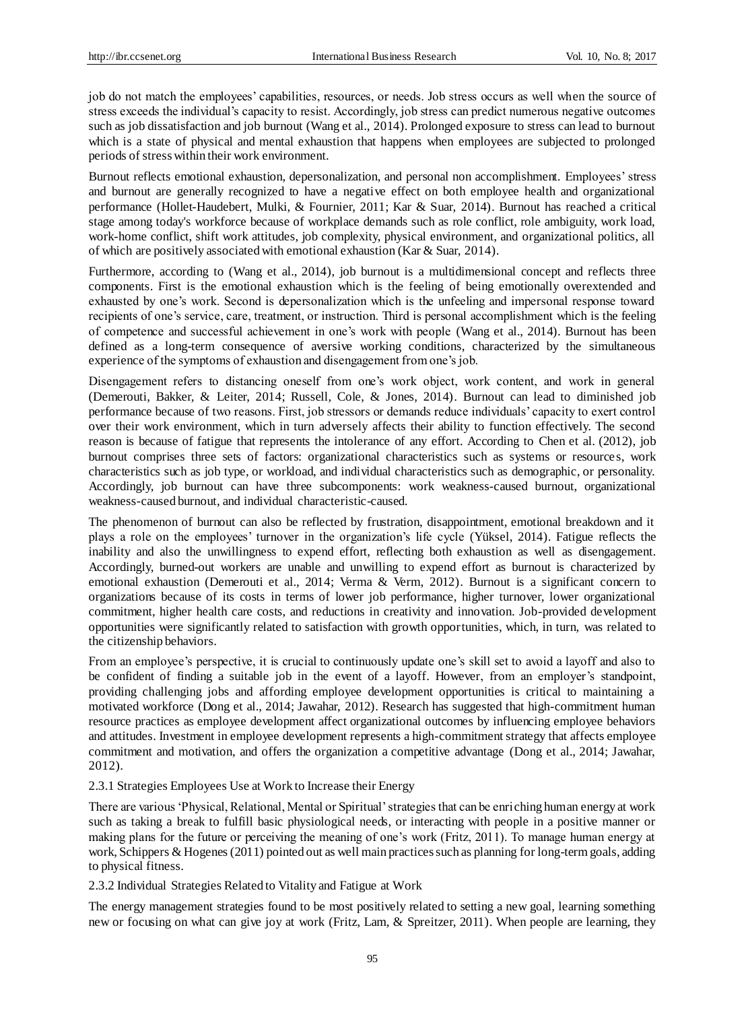job do not match the employees' capabilities, resources, or needs. Job stress occurs as well when the source of stress exceeds the individual's capacity to resist. Accordingly, job stress can predict numerous negative outcomes such as job dissatisfaction and job burnout (Wang et al., 2014). Prolonged exposure to stress can lead to burnout which is a state of physical and mental exhaustion that happens when employees are subjected to prolonged periods of stress within their work environment.

Burnout reflects emotional exhaustion, depersonalization, and personal non accomplishment. Employees' stress and burnout are generally recognized to have a negative effect on both employee health and organizational performance (Hollet-Haudebert, Mulki, & Fournier, 2011; Kar & Suar, 2014). Burnout has reached a critical stage among today's workforce because of workplace demands such as role conflict, role ambiguity, work load, work-home conflict, shift work attitudes, job complexity, physical environment, and organizational politics, all of which are positively associated with emotional exhaustion (Kar & Suar, 2014).

Furthermore, according to (Wang et al., 2014), job burnout is a multidimensional concept and reflects three components. First is the emotional exhaustion which is the feeling of being emotionally overextended and exhausted by one's work. Second is depersonalization which is the unfeeling and impersonal response toward recipients of one's service, care, treatment, or instruction. Third is personal accomplishment which is the feeling of competence and successful achievement in one's work with people (Wang et al., 2014). Burnout has been defined as a long-term consequence of aversive working conditions, characterized by the simultaneous experience of the symptoms of exhaustion and disengagement from one's job.

Disengagement refers to distancing oneself from one's work object, work content, and work in general (Demerouti, Bakker, & Leiter, 2014; Russell, Cole, & Jones, 2014). Burnout can lead to diminished job performance because of two reasons. First, job stressors or demands reduce individuals' capacity to exert control over their work environment, which in turn adversely affects their ability to function effectively. The second reason is because of fatigue that represents the intolerance of any effort. According to Chen et al. (2012), job burnout comprises three sets of factors: organizational characteristics such as systems or resources, work characteristics such as job type, or workload, and individual characteristics such as demographic, or personality. Accordingly, job burnout can have three subcomponents: work weakness-caused burnout, organizational weakness-caused burnout, and individual characteristic-caused.

The phenomenon of burnout can also be reflected by frustration, disappointment, emotional breakdown and it plays a role on the employees' turnover in the organization's life cycle (Yüksel, 2014). Fatigue reflects the inability and also the unwillingness to expend effort, reflecting both exhaustion as well as disengagement. Accordingly, burned-out workers are unable and unwilling to expend effort as burnout is characterized by emotional exhaustion (Demerouti et al., 2014; Verma & Verm, 2012). Burnout is a significant concern to organizations because of its costs in terms of lower job performance, higher turnover, lower organizational commitment, higher health care costs, and reductions in creativity and innovation. Job-provided development opportunities were significantly related to satisfaction with growth opportunities, which, in turn, was related to the citizenship behaviors.

From an employee's perspective, it is crucial to continuously update one's skill set to avoid a layoff and also to be confident of finding a suitable job in the event of a layoff. However, from an employer's standpoint, providing challenging jobs and affording employee development opportunities is critical to maintaining a motivated workforce (Dong et al., 2014; Jawahar, 2012). Research has suggested that high-commitment human resource practices as employee development affect organizational outcomes by influencing employee behaviors and attitudes. Investment in employee development represents a high-commitment strategy that affects employee commitment and motivation, and offers the organization a competitive advantage (Dong et al., 2014; Jawahar, 2012).

# 2.3.1 Strategies Employees Use at Work to Increase their Energy

There are various 'Physical, Relational, Mental or Spiritual' strategies that can be enriching human energy at work such as taking a break to fulfill basic physiological needs, or interacting with people in a positive manner or making plans for the future or perceiving the meaning of one's work (Fritz, 2011). To manage human energy at work, Schippers & Hogenes (2011) pointed out as well main practices such as planning for long-term goals, adding to physical fitness.

#### 2.3.2 Individual Strategies Related to Vitality and Fatigue at Work

The energy management strategies found to be most positively related to setting a new goal, learning something new or focusing on what can give joy at work (Fritz, Lam, & Spreitzer, 2011). When people are learning, they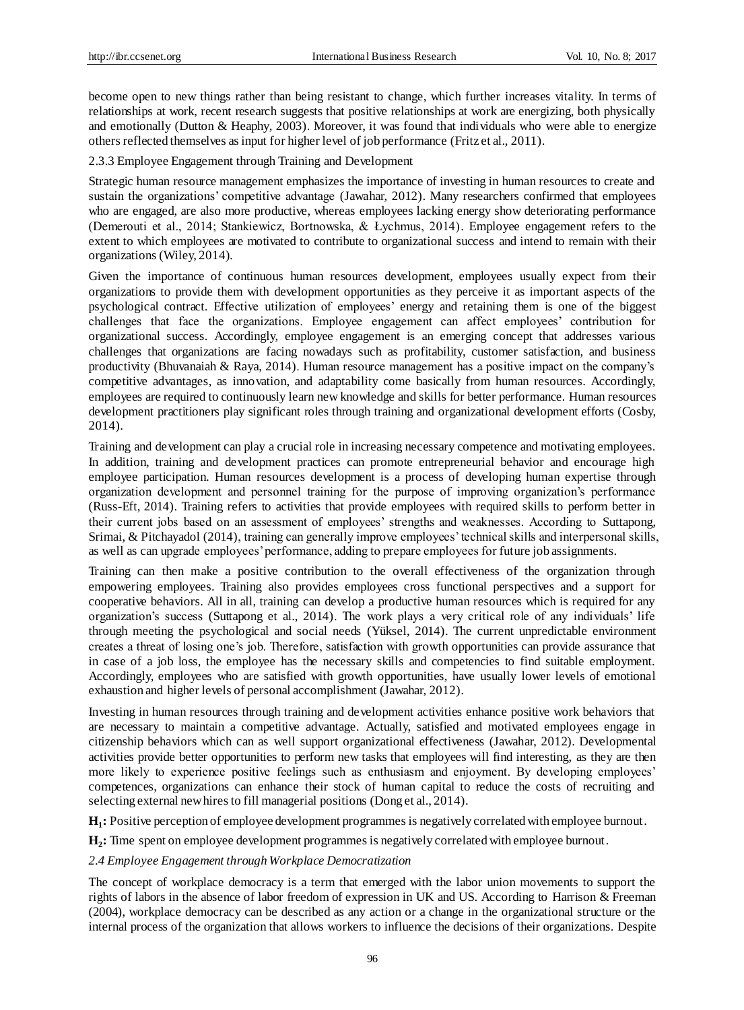become open to new things rather than being resistant to change, which further increases vitality. In terms of relationships at work, recent research suggests that positive relationships at work are energizing, both physically and emotionally (Dutton & Heaphy, 2003). Moreover, it was found that individuals who were able to energize others reflected themselves as input for higher level of job performance (Fritz et al., 2011).

2.3.3 Employee Engagement through Training and Development

Strategic human resource management emphasizes the importance of investing in human resources to create and sustain the organizations' competitive advantage (Jawahar, 2012). Many researchers confirmed that employees who are engaged, are also more productive, whereas employees lacking energy show deteriorating performance (Demerouti et al., 2014; Stankiewicz, Bortnowska, & Łychmus, 2014). Employee engagement refers to the extent to which employees are motivated to contribute to organizational success and intend to remain with their organizations (Wiley, 2014).

Given the importance of continuous human resources development, employees usually expect from their organizations to provide them with development opportunities as they perceive it as important aspects of the psychological contract. Effective utilization of employees' energy and retaining them is one of the biggest challenges that face the organizations. Employee engagement can affect employees' contribution for organizational success. Accordingly, employee engagement is an emerging concept that addresses various challenges that organizations are facing nowadays such as profitability, customer satisfaction, and business productivity (Bhuvanaiah & Raya, 2014). Human resource management has a positive impact on the company's competitive advantages, as innovation, and adaptability come basically from human resources. Accordingly, employees are required to continuously learn new knowledge and skills for better performance. Human resources development practitioners play significant roles through training and organizational development efforts (Cosby, 2014).

Training and development can play a crucial role in increasing necessary competence and motivating employees. In addition, training and development practices can promote entrepreneurial behavior and encourage high employee participation. Human resources development is a process of developing human expertise through organization development and personnel training for the purpose of improving organization's performance (Russ-Eft, 2014). Training refers to activities that provide employees with required skills to perform better in their current jobs based on an assessment of employees' strengths and weaknesses. According to Suttapong, Srimai, & Pitchayadol (2014), training can generally improve employees' technical skills and interpersonal skills, as well as can upgrade employees' performance, adding to prepare employees for future job assignments.

Training can then make a positive contribution to the overall effectiveness of the organization through empowering employees. Training also provides employees cross functional perspectives and a support for cooperative behaviors. All in all, training can develop a productive human resources which is required for any organization's success (Suttapong et al., 2014). The work plays a very critical role of any individuals' life through meeting the psychological and social needs (Yüksel, 2014). The current unpredictable environment creates a threat of losing one's job. Therefore, satisfaction with growth opportunities can provide assurance that in case of a job loss, the employee has the necessary skills and competencies to find suitable employment. Accordingly, employees who are satisfied with growth opportunities, have usually lower levels of emotional exhaustion and higher levels of personal accomplishment (Jawahar, 2012).

Investing in human resources through training and development activities enhance positive work behaviors that are necessary to maintain a competitive advantage. Actually, satisfied and motivated employees engage in citizenship behaviors which can as well support organizational effectiveness (Jawahar, 2012). Developmental activities provide better opportunities to perform new tasks that employees will find interesting, as they are then more likely to experience positive feelings such as enthusiasm and enjoyment. By developing employees' competences, organizations can enhance their stock of human capital to reduce the costs of recruiting and selecting external new hires to fill managerial positions (Dong et al., 2014).

**H1 :** Positive perception of employee development programmes is negatively correlated with employee burnout.

**H2 :** Time spent on employee development programmes is negatively correlated with employee burnout.

*2.4 Employee Engagement through Workplace Democratization*

The concept of workplace democracy is a term that emerged with the labor union movements to support the rights of labors in the absence of labor freedom of expression in UK and US. According to Harrison & Freeman (2004), workplace democracy can be described as any action or a change in the organizational structure or the internal process of the organization that allows workers to influence the decisions of their organizations. Despite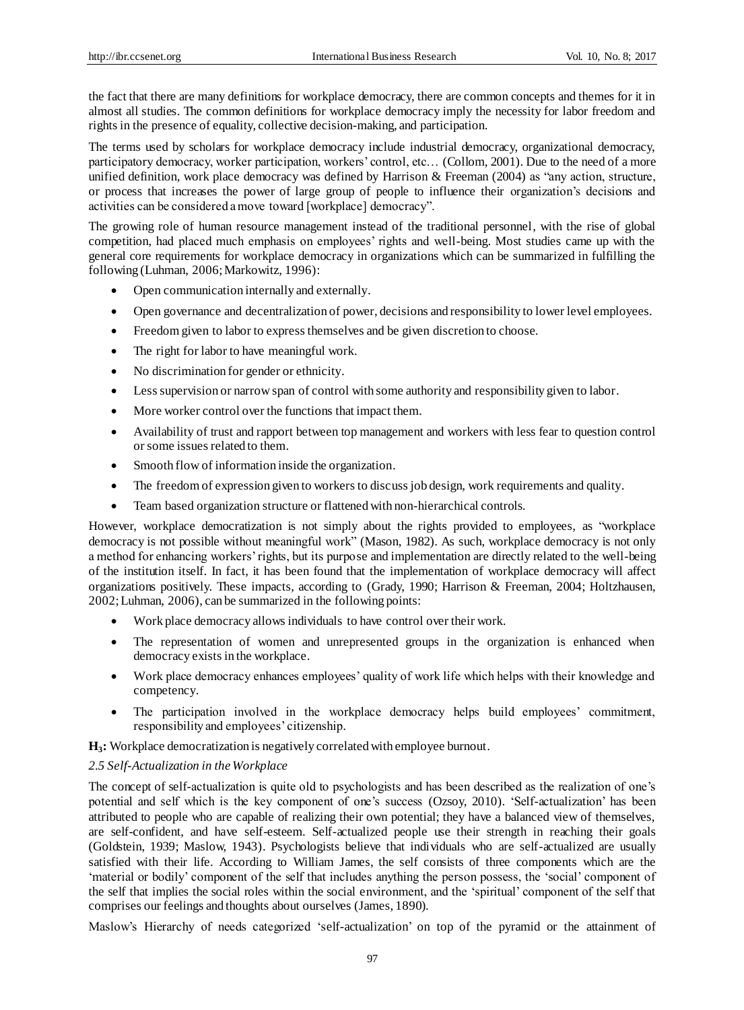the fact that there are many definitions for workplace democracy, there are common concepts and themes for it in almost all studies. The common definitions for workplace democracy imply the necessity for labor freedom and rights in the presence of equality, collective decision-making, and participation.

The terms used by scholars for workplace democracy include industrial democracy, organizational democracy, participatory democracy, worker participation, workers' control, etc… (Collom, 2001). Due to the need of a more unified definition, work place democracy was defined by Harrison & Freeman (2004) as "any action, structure, or process that increases the power of large group of people to influence their organization's decisions and activities can be considered a move toward [workplace] democracy".

The growing role of human resource management instead of the traditional personnel, with the rise of global competition, had placed much emphasis on employees' rights and well-being. Most studies came up with the general core requirements for workplace democracy in organizations which can be summarized in fulfilling the following (Luhman, 2006; Markowitz, 1996):

- Open communication internally and externally.
- Open governance and decentralization of power, decisions and responsibility to lower level employees.
- Freedom given to labor to express themselves and be given discretion to choose.
- The right for labor to have meaningful work.
- No discrimination for gender or ethnicity.
- Less supervision or narrow span of control with some authority and responsibility given to labor.
- More worker control over the functions that impact them.
- Availability of trust and rapport between top management and workers with less fear to question control or some issues related to them.
- Smooth flow of information inside the organization.
- The freedom of expression given to workers to discuss job design, work requirements and quality.
- Team based organization structure or flattened with non-hierarchical controls.

However, workplace democratization is not simply about the rights provided to employees, as "workplace democracy is not possible without meaningful work" (Mason, 1982). As such, workplace democracy is not only a method for enhancing workers' rights, but its purpose and implementation are directly related to the well-being of the institution itself. In fact, it has been found that the implementation of workplace democracy will affect organizations positively. These impacts, according to (Grady, 1990; Harrison & Freeman, 2004; Holtzhausen, 2002; Luhman, 2006), can be summarized in the following points:

- Work place democracy allows individuals to have control over their work.
- The representation of women and unrepresented groups in the organization is enhanced when democracy exists in the workplace.
- Work place democracy enhances employees' quality of work life which helps with their knowledge and competency.
- The participation involved in the workplace democracy helps build employees' commitment, responsibility and employees' citizenship.

**H3 :** Workplace democratization is negatively correlated with employee burnout.

#### *2.5 Self-Actualization in the Workplace*

The concept of self-actualization is quite old to psychologists and has been described as the realization of one's potential and self which is the key component of one's success (Ozsoy, 2010). 'Self-actualization' has been attributed to people who are capable of realizing their own potential; they have a balanced view of themselves, are self-confident, and have self-esteem. Self-actualized people use their strength in reaching their goals (Goldstein, 1939; Maslow, 1943). Psychologists believe that individuals who are self-actualized are usually satisfied with their life. According to William James, the self consists of three components which are the 'material or bodily' component of the self that includes anything the person possess, the 'social' component of the self that implies the social roles within the social environment, and the 'spiritual' component of the self that comprises our feelings and thoughts about ourselves (James, 1890).

Maslow's Hierarchy of needs categorized 'self-actualization' on top of the pyramid or the attainment of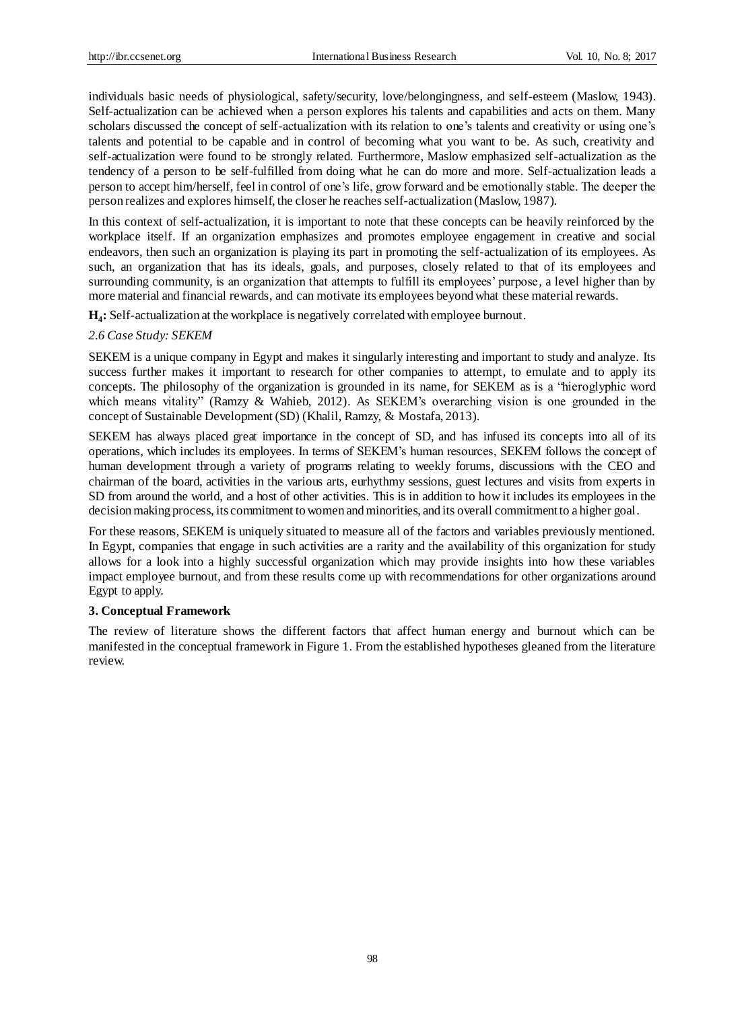individuals basic needs of physiological, safety/security, love/belongingness, and self-esteem (Maslow, 1943). Self-actualization can be achieved when a person explores his talents and capabilities and acts on them. Many scholars discussed the concept of self-actualization with its relation to one's talents and creativity or using one's talents and potential to be capable and in control of becoming what you want to be. As such, creativity and self-actualization were found to be strongly related. Furthermore, Maslow emphasized self-actualization as the tendency of a person to be self-fulfilled from doing what he can do more and more. Self-actualization leads a person to accept him/herself, feel in control of one's life, grow forward and be emotionally stable. The deeper the person realizes and explores himself, the closer he reaches self-actualization (Maslow, 1987).

In this context of self-actualization, it is important to note that these concepts can be heavily reinforced by the workplace itself. If an organization emphasizes and promotes employee engagement in creative and social endeavors, then such an organization is playing its part in promoting the self-actualization of its employees. As such, an organization that has its ideals, goals, and purposes, closely related to that of its employees and surrounding community, is an organization that attempts to fulfill its employees' purpose, a level higher than by more material and financial rewards, and can motivate its employees beyond what these material rewards.

**H4 :** Self-actualization at the workplace is negatively correlated with employee burnout.

# *2.6 Case Study: SEKEM*

SEKEM is a unique company in Egypt and makes it singularly interesting and important to study and analyze. Its success further makes it important to research for other companies to attempt, to emulate and to apply its concepts. The philosophy of the organization is grounded in its name, for SEKEM as is a "hieroglyphic word which means vitality" (Ramzy & Wahieb, 2012). As SEKEM's overarching vision is one grounded in the concept of Sustainable Development (SD) (Khalil, Ramzy, & Mostafa, 2013).

SEKEM has always placed great importance in the concept of SD, and has infused its concepts into all of its operations, which includes its employees. In terms of SEKEM's human resources, SEKEM follows the concept of human development through a variety of programs relating to weekly forums, discussions with the CEO and chairman of the board, activities in the various arts, eurhythmy sessions, guest lectures and visits from experts in SD from around the world, and a host of other activities. This is in addition to how it includes its employees in the decision making process, its commitment to women and minorities, and its overall commitment to a higher goal.

For these reasons, SEKEM is uniquely situated to measure all of the factors and variables previously mentioned. In Egypt, companies that engage in such activities are a rarity and the availability of this organization for study allows for a look into a highly successful organization which may provide insights into how these variables impact employee burnout, and from these results come up with recommendations for other organizations around Egypt to apply.

# **3. Conceptual Framework**

The review of literature shows the different factors that affect human energy and burnout which can be manifested in the conceptual framework in Figure 1. From the established hypotheses gleaned from the literature review.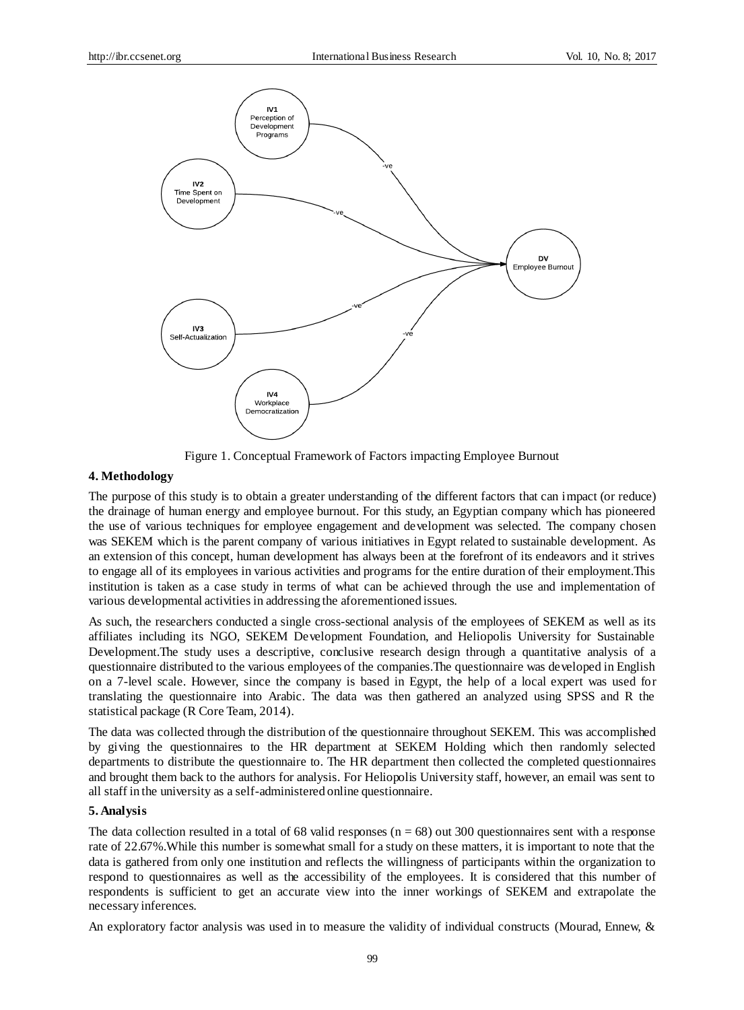

Figure 1. Conceptual Framework of Factors impacting Employee Burnout

# **4. Methodology**

The purpose of this study is to obtain a greater understanding of the different factors that can impact (or reduce) the drainage of human energy and employee burnout. For this study, an Egyptian company which has pioneered the use of various techniques for employee engagement and development was selected. The company chosen was SEKEM which is the parent company of various initiatives in Egypt related to sustainable development. As an extension of this concept, human development has always been at the forefront of its endeavors and it strives to engage all of its employees in various activities and programs for the entire duration of their employment.This institution is taken as a case study in terms of what can be achieved through the use and implementation of various developmental activities in addressing the aforementioned issues.

As such, the researchers conducted a single cross-sectional analysis of the employees of SEKEM as well as its affiliates including its NGO, SEKEM Development Foundation, and Heliopolis University for Sustainable Development.The study uses a descriptive, conclusive research design through a quantitative analysis of a questionnaire distributed to the various employees of the companies.The questionnaire was developed in English on a 7-level scale. However, since the company is based in Egypt, the help of a local expert was used for translating the questionnaire into Arabic. The data was then gathered an analyzed using SPSS and R the statistical package (R Core Team, 2014).

The data was collected through the distribution of the questionnaire throughout SEKEM. This was accomplished by giving the questionnaires to the HR department at SEKEM Holding which then randomly selected departments to distribute the questionnaire to. The HR department then collected the completed questionnaires and brought them back to the authors for analysis. For Heliopolis University staff, however, an email was sent to all staff in the university as a self-administered online questionnaire.

# **5. Analysis**

The data collection resulted in a total of 68 valid responses  $(n = 68)$  out 300 questionnaires sent with a response rate of 22.67%.While this number is somewhat small for a study on these matters, it is important to note that the data is gathered from only one institution and reflects the willingness of participants within the organization to respond to questionnaires as well as the accessibility of the employees. It is considered that this number of respondents is sufficient to get an accurate view into the inner workings of SEKEM and extrapolate the necessary inferences.

An exploratory factor analysis was used in to measure the validity of individual constructs (Mourad, Ennew, &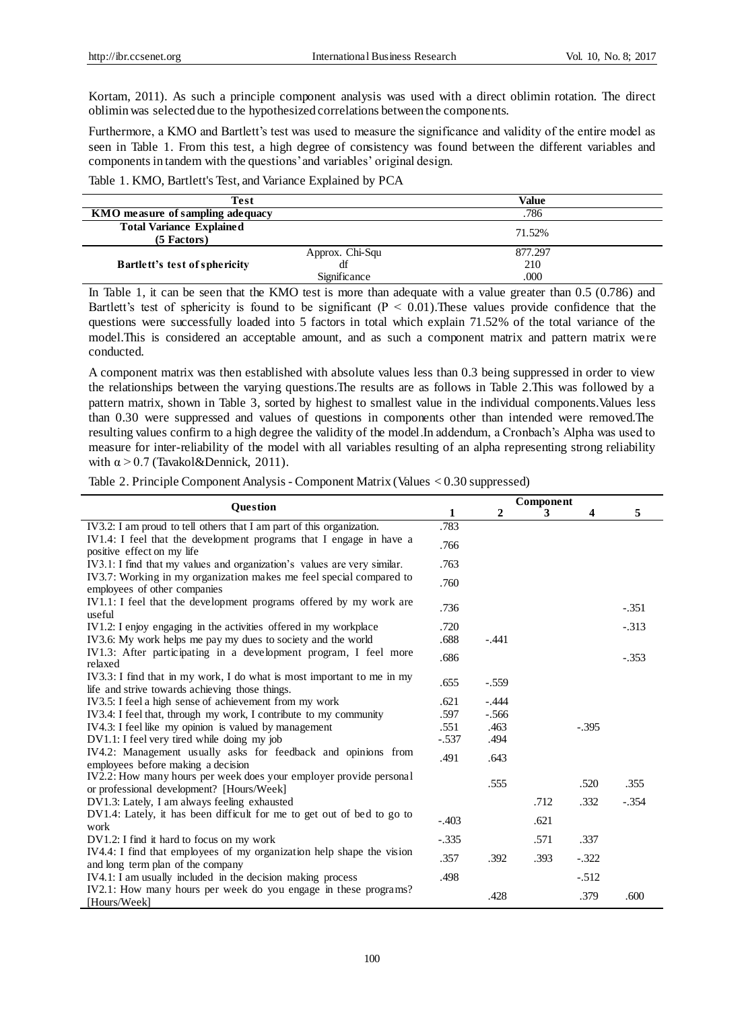Kortam, 2011). As such a principle component analysis was used with a direct oblimin rotation. The direct oblimin was selected due to the hypothesized correlations between the components.

Furthermore, a KMO and Bartlett's test was used to measure the significance and validity of the entire model as seen in Table 1. From this test, a high degree of consistency was found between the different variables and components in tandem with the questions' and variables' original design.

Table 1. KMO, Bartlett's Test, and Variance Explained by PCA

| <b>Test</b>                                      |                 | Value   |  |
|--------------------------------------------------|-----------------|---------|--|
| KMO measure of sampling adequacy                 |                 | .786    |  |
| <b>Total Variance Explained</b><br>$(5$ Factors) |                 | 71.52%  |  |
|                                                  | Approx. Chi-Squ | 877.297 |  |
| Bartlett's test of sphericity                    |                 | 210     |  |
|                                                  | Significance    | .000    |  |

In Table 1, it can be seen that the KMO test is more than adequate with a value greater than 0.5 (0.786) and Bartlett's test of sphericity is found to be significant  $(P < 0.01)$ . These values provide confidence that the questions were successfully loaded into 5 factors in total which explain 71.52% of the total variance of the model.This is considered an acceptable amount, and as such a component matrix and pattern matrix were conducted.

A component matrix was then established with absolute values less than 0.3 being suppressed in order to view the relationships between the varying questions.The results are as follows in Table 2.This was followed by a pattern matrix, shown in Table 3, sorted by highest to smallest value in the individual components.Values less than 0.30 were suppressed and values of questions in components other than intended were removed.The resulting values confirm to a high degree the validity of the model.In addendum, a Cronbach's Alpha was used to measure for inter-reliability of the model with all variables resulting of an alpha representing strong reliability with  $\alpha$  > 0.7 (Tavakol&Dennick, 2011).

Table 2. Principle Component Analysis - Component Matrix (Values < 0.30 suppressed)

|                                                                          |         | Component      |      |         |         |  |  |
|--------------------------------------------------------------------------|---------|----------------|------|---------|---------|--|--|
| Question                                                                 | 1       | $\overline{2}$ | 3    | 4       | 5       |  |  |
| IV3.2: I am proud to tell others that I am part of this organization.    | .783    |                |      |         |         |  |  |
| IV1.4: I feel that the development programs that I engage in have a      | .766    |                |      |         |         |  |  |
| positive effect on my life                                               |         |                |      |         |         |  |  |
| IV3.1: I find that my values and organization's values are very similar. | .763    |                |      |         |         |  |  |
| IV3.7: Working in my organization makes me feel special compared to      | .760    |                |      |         |         |  |  |
| employees of other companies                                             |         |                |      |         |         |  |  |
| IV1.1: I feel that the development programs offered by my work are       | .736    |                |      |         | $-.351$ |  |  |
| useful                                                                   |         |                |      |         |         |  |  |
| IV1.2: I enjoy engaging in the activities offered in my workplace        | .720    |                |      |         | $-.313$ |  |  |
| IV3.6: My work helps me pay my dues to society and the world             | .688    | $-.441$        |      |         |         |  |  |
| IV1.3: After participating in a development program, I feel more         | .686    |                |      |         | $-.353$ |  |  |
| relaxed                                                                  |         |                |      |         |         |  |  |
| IV3.3: I find that in my work, I do what is most important to me in my   | .655    | $-.559$        |      |         |         |  |  |
| life and strive towards achieving those things.                          |         |                |      |         |         |  |  |
| IV3.5: I feel a high sense of achievement from my work                   | .621    | $-.444$        |      |         |         |  |  |
| IV3.4: I feel that, through my work, I contribute to my community        | .597    | $-.566$        |      |         |         |  |  |
| IV4.3: I feel like my opinion is valued by management                    | .551    | .463           |      | $-.395$ |         |  |  |
| DV1.1: I feel very tired while doing my job                              | $-.537$ | .494           |      |         |         |  |  |
| IV4.2: Management usually asks for feedback and opinions from            | .491    | .643           |      |         |         |  |  |
| employees before making a decision                                       |         |                |      |         |         |  |  |
| IV2.2: How many hours per week does your employer provide personal       |         | .555           |      | .520    | .355    |  |  |
| or professional development? [Hours/Week]                                |         |                |      |         |         |  |  |
| DV1.3: Lately, I am always feeling exhausted                             |         |                | .712 | .332    | $-.354$ |  |  |
| DV1.4: Lately, it has been difficult for me to get out of bed to go to   | $-.403$ |                | .621 |         |         |  |  |
| work                                                                     |         |                |      |         |         |  |  |
| DV1.2: I find it hard to focus on my work                                | $-.335$ |                | .571 | .337    |         |  |  |
| IV4.4: I find that employees of my organization help shape the vision    | .357    | .392           | .393 | $-.322$ |         |  |  |
| and long term plan of the company                                        |         |                |      |         |         |  |  |
| IV4.1: I am usually included in the decision making process              | .498    |                |      | $-.512$ |         |  |  |
| IV2.1: How many hours per week do you engage in these programs?          |         | .428           |      | .379    | .600    |  |  |
| [Hours/Week]                                                             |         |                |      |         |         |  |  |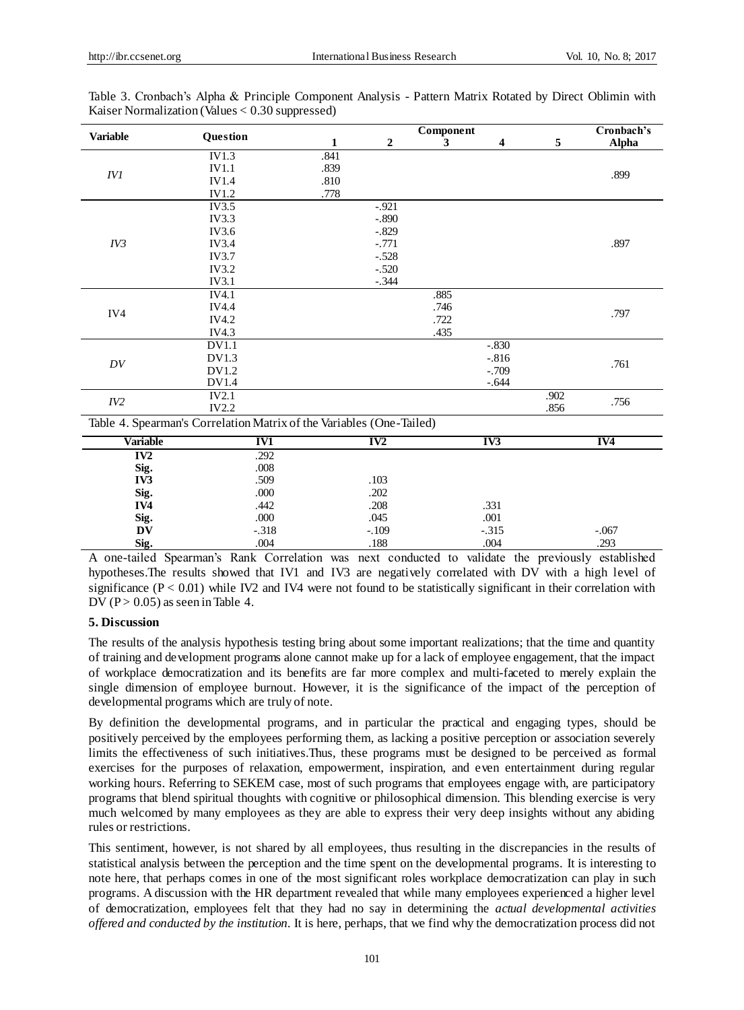|                        |                                                                      | Component    |                |      | Cronbach's |      |                 |
|------------------------|----------------------------------------------------------------------|--------------|----------------|------|------------|------|-----------------|
| <b>Variable</b>        | Question                                                             | $\mathbf{1}$ | $\overline{2}$ | 3    | 4          | 5    | Alpha           |
|                        | IV1.3                                                                | .841         |                |      |            |      |                 |
| $\mathit{IVl}$         | <b>IV1.1</b>                                                         | .839         |                |      |            |      | .899            |
|                        | <b>IV1.4</b>                                                         | .810         |                |      |            |      |                 |
|                        | <b>IV1.2</b>                                                         | .778         |                |      |            |      |                 |
|                        | IV3.5                                                                |              | $-921$         |      |            |      |                 |
|                        | IV3.3                                                                |              | $-.890$        |      |            |      |                 |
|                        | IV3.6                                                                |              | $-.829$        |      |            |      |                 |
| IV3                    | IV3.4                                                                |              | $-.771$        |      |            |      | .897            |
|                        | IV3.7                                                                |              | $-.528$        |      |            |      |                 |
|                        | IV3.2                                                                |              | $-.520$        |      |            |      |                 |
|                        | IV3.1                                                                |              | $-.344$        |      |            |      |                 |
|                        | <b>IV4.1</b>                                                         |              |                | .885 |            |      |                 |
|                        | <b>IV4.4</b>                                                         |              |                | .746 |            |      |                 |
| IV <sub>4</sub>        | IV4.2                                                                |              |                | .722 |            |      | .797            |
|                        | IV4.3                                                                |              |                | .435 |            |      |                 |
|                        | DV1.1                                                                |              |                |      | $-.830$    |      | .761            |
| DV                     | DV1.3                                                                |              |                |      | $-.816$    |      |                 |
|                        | <b>DV1.2</b>                                                         |              |                |      | $-.709$    |      |                 |
|                        | <b>DV1.4</b>                                                         |              |                |      | $-.644$    |      |                 |
|                        | IV2.1                                                                |              |                |      |            | .902 |                 |
| $\mathit{IV2}$         | IV2.2                                                                |              |                |      |            | .856 | .756            |
|                        | Table 4. Spearman's Correlation Matrix of the Variables (One-Tailed) |              |                |      |            |      |                 |
| <b>Variable</b>        | IV1                                                                  |              | IV2            |      | IV3        |      | IV <sub>4</sub> |
| IV <sub>2</sub>        | .292                                                                 |              |                |      |            |      |                 |
| Sig.                   | .008                                                                 |              |                |      |            |      |                 |
| IV3                    | .509                                                                 |              | .103           |      |            |      |                 |
| Sig.                   | .000                                                                 |              | .202           |      |            |      |                 |
| IV4                    | .442                                                                 |              | .208           |      | .331       |      |                 |
| Sig.                   | .000                                                                 |              | .045           |      | .001       |      |                 |
| $\mathbf{D}\mathbf{V}$ | $-.318$                                                              |              | $-.109$        |      | $-.315$    |      | $-.067$         |
| Sig.                   | .004                                                                 |              | .188           |      | .004       |      | .293            |

Table 3. Cronbach's Alpha & Principle Component Analysis - Pattern Matrix Rotated by Direct Oblimin with Kaiser Normalization (Values < 0.30 suppressed)

A one-tailed Spearman's Rank Correlation was next conducted to validate the previously established hypotheses.The results showed that IV1 and IV3 are negatively correlated with DV with a high level of significance  $(P < 0.01)$  while IV2 and IV4 were not found to be statistically significant in their correlation with DV ( $P > 0.05$ ) as seen in Table 4.

#### **5. Discussion**

The results of the analysis hypothesis testing bring about some important realizations; that the time and quantity of training and development programs alone cannot make up for a lack of employee engagement, that the impact of workplace democratization and its benefits are far more complex and multi-faceted to merely explain the single dimension of employee burnout. However, it is the significance of the impact of the perception of developmental programs which are truly of note.

By definition the developmental programs, and in particular the practical and engaging types, should be positively perceived by the employees performing them, as lacking a positive perception or association severely limits the effectiveness of such initiatives.Thus, these programs must be designed to be perceived as formal exercises for the purposes of relaxation, empowerment, inspiration, and even entertainment during regular working hours. Referring to SEKEM case, most of such programs that employees engage with, are participatory programs that blend spiritual thoughts with cognitive or philosophical dimension. This blending exercise is very much welcomed by many employees as they are able to express their very deep insights without any abiding rules or restrictions.

This sentiment, however, is not shared by all employees, thus resulting in the discrepancies in the results of statistical analysis between the perception and the time spent on the developmental programs. It is interesting to note here, that perhaps comes in one of the most significant roles workplace democratization can play in such programs. A discussion with the HR department revealed that while many employees experienced a higher level of democratization, employees felt that they had no say in determining the *actual developmental activities offered and conducted by the institution.* It is here, perhaps, that we find why the democratization process did not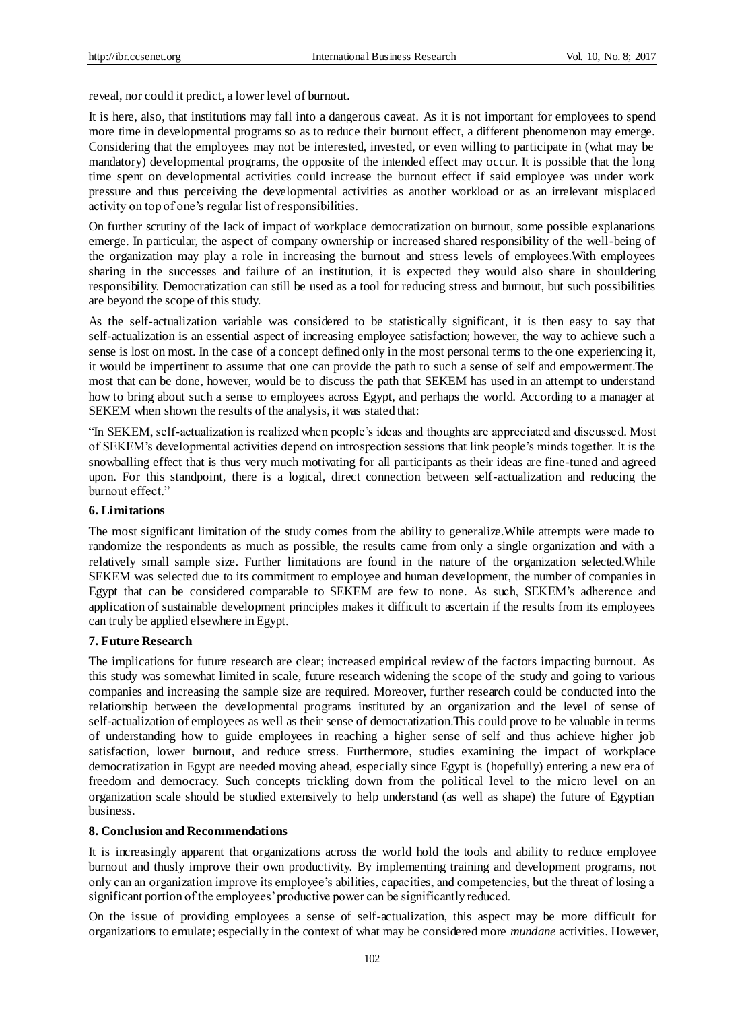reveal, nor could it predict, a lower level of burnout.

It is here, also, that institutions may fall into a dangerous caveat. As it is not important for employees to spend more time in developmental programs so as to reduce their burnout effect, a different phenomenon may emerge. Considering that the employees may not be interested, invested, or even willing to participate in (what may be mandatory) developmental programs, the opposite of the intended effect may occur. It is possible that the long time spent on developmental activities could increase the burnout effect if said employee was under work pressure and thus perceiving the developmental activities as another workload or as an irrelevant misplaced activity on top of one's regular list of responsibilities.

On further scrutiny of the lack of impact of workplace democratization on burnout, some possible explanations emerge. In particular, the aspect of company ownership or increased shared responsibility of the well-being of the organization may play a role in increasing the burnout and stress levels of employees.With employees sharing in the successes and failure of an institution, it is expected they would also share in shouldering responsibility. Democratization can still be used as a tool for reducing stress and burnout, but such possibilities are beyond the scope of this study.

As the self-actualization variable was considered to be statistically significant, it is then easy to say that self-actualization is an essential aspect of increasing employee satisfaction; however, the way to achieve such a sense is lost on most. In the case of a concept defined only in the most personal terms to the one experiencing it, it would be impertinent to assume that one can provide the path to such a sense of self and empowerment.The most that can be done, however, would be to discuss the path that SEKEM has used in an attempt to understand how to bring about such a sense to employees across Egypt, and perhaps the world. According to a manager at SEKEM when shown the results of the analysis, it was stated that:

"In SEKEM, self-actualization is realized when people's ideas and thoughts are appreciated and discussed. Most of SEKEM's developmental activities depend on introspection sessions that link people's minds together. It is the snowballing effect that is thus very much motivating for all participants as their ideas are fine-tuned and agreed upon. For this standpoint, there is a logical, direct connection between self-actualization and reducing the burnout effect."

# **6. Limitations**

The most significant limitation of the study comes from the ability to generalize.While attempts were made to randomize the respondents as much as possible, the results came from only a single organization and with a relatively small sample size. Further limitations are found in the nature of the organization selected.While SEKEM was selected due to its commitment to employee and human development, the number of companies in Egypt that can be considered comparable to SEKEM are few to none. As such, SEKEM's adherence and application of sustainable development principles makes it difficult to ascertain if the results from its employees can truly be applied elsewhere in Egypt.

# **7. Future Research**

The implications for future research are clear; increased empirical review of the factors impacting burnout. As this study was somewhat limited in scale, future research widening the scope of the study and going to various companies and increasing the sample size are required. Moreover, further research could be conducted into the relationship between the developmental programs instituted by an organization and the level of sense of self-actualization of employees as well as their sense of democratization.This could prove to be valuable in terms of understanding how to guide employees in reaching a higher sense of self and thus achieve higher job satisfaction, lower burnout, and reduce stress. Furthermore, studies examining the impact of workplace democratization in Egypt are needed moving ahead, especially since Egypt is (hopefully) entering a new era of freedom and democracy. Such concepts trickling down from the political level to the micro level on an organization scale should be studied extensively to help understand (as well as shape) the future of Egyptian business.

# **8. Conclusion and Recommendations**

It is increasingly apparent that organizations across the world hold the tools and ability to reduce employee burnout and thusly improve their own productivity. By implementing training and development programs, not only can an organization improve its employee's abilities, capacities, and competencies, but the threat of losing a significant portion of the employees' productive power can be significantly reduced.

On the issue of providing employees a sense of self-actualization, this aspect may be more difficult for organizations to emulate; especially in the context of what may be considered more *mundane* activities. However,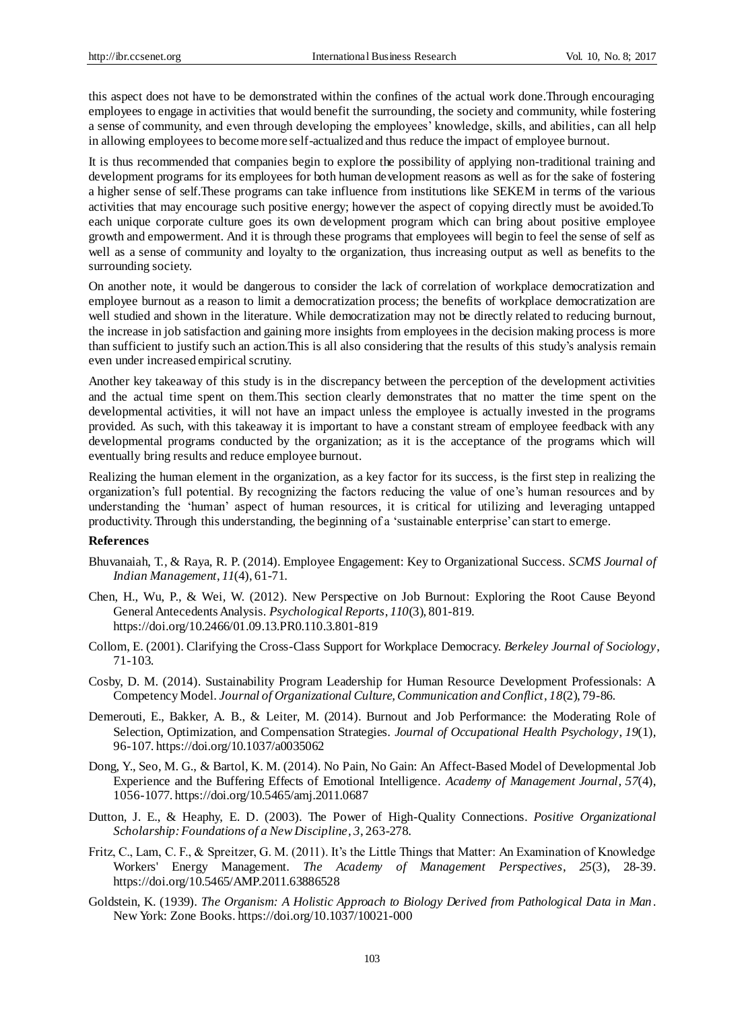this aspect does not have to be demonstrated within the confines of the actual work done.Through encouraging employees to engage in activities that would benefit the surrounding, the society and community, while fostering a sense of community, and even through developing the employees' knowledge, skills, and abilities, can all help in allowing employees to become more self-actualized and thus reduce the impact of employee burnout.

It is thus recommended that companies begin to explore the possibility of applying non-traditional training and development programs for its employees for both human development reasons as well as for the sake of fostering a higher sense of self.These programs can take influence from institutions like SEKEM in terms of the various activities that may encourage such positive energy; however the aspect of copying directly must be avoided.To each unique corporate culture goes its own development program which can bring about positive employee growth and empowerment. And it is through these programs that employees will begin to feel the sense of self as well as a sense of community and loyalty to the organization, thus increasing output as well as benefits to the surrounding society.

On another note, it would be dangerous to consider the lack of correlation of workplace democratization and employee burnout as a reason to limit a democratization process; the benefits of workplace democratization are well studied and shown in the literature. While democratization may not be directly related to reducing burnout, the increase in job satisfaction and gaining more insights from employees in the decision making process is more than sufficient to justify such an action.This is all also considering that the results of this study's analysis remain even under increased empirical scrutiny.

Another key takeaway of this study is in the discrepancy between the perception of the development activities and the actual time spent on them.This section clearly demonstrates that no matter the time spent on the developmental activities, it will not have an impact unless the employee is actually invested in the programs provided. As such, with this takeaway it is important to have a constant stream of employee feedback with any developmental programs conducted by the organization; as it is the acceptance of the programs which will eventually bring results and reduce employee burnout.

Realizing the human element in the organization, as a key factor for its success, is the first step in realizing the organization's full potential. By recognizing the factors reducing the value of one's human resources and by understanding the 'human' aspect of human resources, it is critical for utilizing and leveraging untapped productivity. Through this understanding, the beginning of a 'sustainable enterprise' can start to emerge.

#### **References**

- Bhuvanaiah, T., & Raya, R. P. (2014). Employee Engagement: Key to Organizational Success. *SCMS Journal of Indian Management*, *11*(4), 61-71.
- Chen, H., Wu, P., & Wei, W. (2012). New Perspective on Job Burnout: Exploring the Root Cause Beyond General Antecedents Analysis. *Psychological Reports*, *110*(3), 801-819. https://doi.org/10.2466/01.09.13.PR0.110.3.801-819
- Collom, E. (2001). Clarifying the Cross-Class Support for Workplace Democracy. *Berkeley Journal of Sociology*, 71-103.
- Cosby, D. M. (2014). Sustainability Program Leadership for Human Resource Development Professionals: A Competency Model. *Journal of Organizational Culture, Communication and Conflict*, *18*(2), 79-86.
- Demerouti, E., Bakker, A. B., & Leiter, M. (2014). Burnout and Job Performance: the Moderating Role of Selection, Optimization, and Compensation Strategies. *Journal of Occupational Health Psychology*, *19*(1), 96-107. https://doi.org/10.1037/a0035062
- Dong, Y., Seo, M. G., & Bartol, K. M. (2014). No Pain, No Gain: An Affect-Based Model of Developmental Job Experience and the Buffering Effects of Emotional Intelligence. *Academy of Management Journal*, *57*(4), 1056-1077. https://doi.org/10.5465/amj.2011.0687
- Dutton, J. E., & Heaphy, E. D. (2003). The Power of High-Quality Connections. *Positive Organizational Scholarship: Foundations of a New Discipline*, *3*, 263-278.
- Fritz, C., Lam, C. F., & Spreitzer, G. M. (2011). It's the Little Things that Matter: An Examination of Knowledge Workers' Energy Management. *The Academy of Management Perspectives*, *25*(3), 28-39. https://doi.org/10.5465/AMP.2011.63886528
- Goldstein, K. (1939). *The Organism: A Holistic Approach to Biology Derived from Pathological Data in Man*. New York: Zone Books. https://doi.org/10.1037/10021-000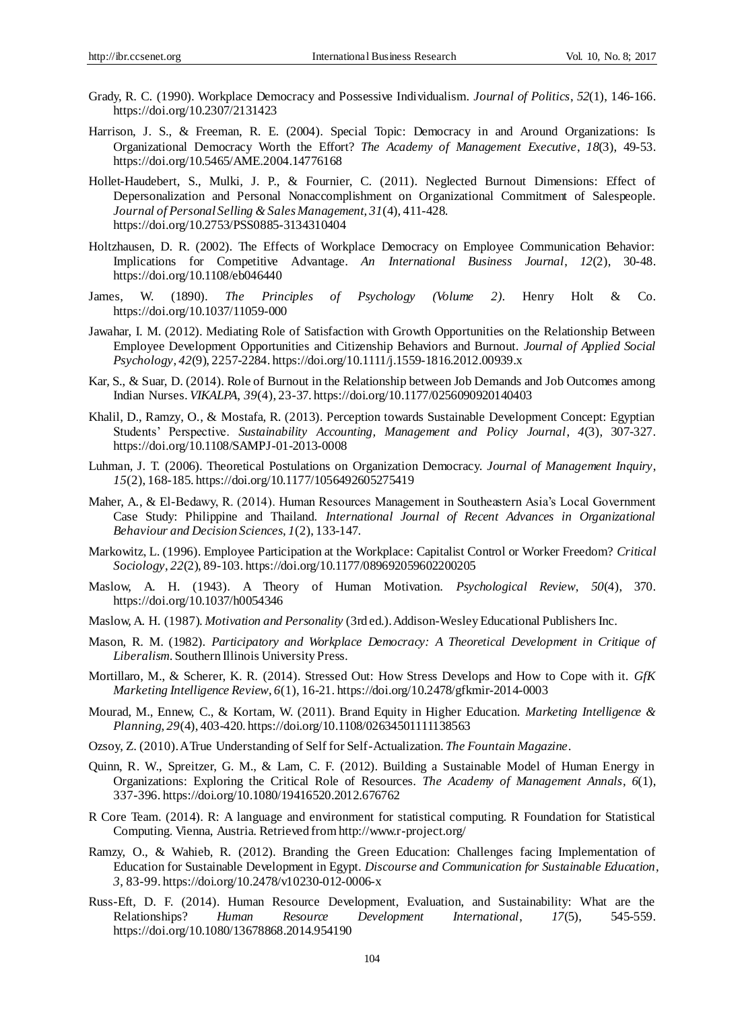- Grady, R. C. (1990). Workplace Democracy and Possessive Individualism. *Journal of Politics*, *52*(1), 146-166. https://doi.org/10.2307/2131423
- Harrison, J. S., & Freeman, R. E. (2004). Special Topic: Democracy in and Around Organizations: Is Organizational Democracy Worth the Effort? *The Academy of Management Executive*, *18*(3), 49-53. https://doi.org/10.5465/AME.2004.14776168
- Hollet-Haudebert, S., Mulki, J. P., & Fournier, C. (2011). Neglected Burnout Dimensions: Effect of Depersonalization and Personal Nonaccomplishment on Organizational Commitment of Salespeople. *Journal of Personal Selling & Sales Management*, *31*(4), 411-428. https://doi.org/10.2753/PSS0885-3134310404
- Holtzhausen, D. R. (2002). The Effects of Workplace Democracy on Employee Communication Behavior: Implications for Competitive Advantage. *An International Business Journal*, *12*(2), 30-48. https://doi.org/10.1108/eb046440
- James, W. (1890). *The Principles of Psychology (Volume 2)*. Henry Holt & Co. https://doi.org/10.1037/11059-000
- Jawahar, I. M. (2012). Mediating Role of Satisfaction with Growth Opportunities on the Relationship Between Employee Development Opportunities and Citizenship Behaviors and Burnout. *Journal of Applied Social Psychology*, *42*(9), 2257-2284. https://doi.org/10.1111/j.1559-1816.2012.00939.x
- Kar, S., & Suar, D. (2014). Role of Burnout in the Relationship between Job Demands and Job Outcomes among Indian Nurses. *VIKALPA*, *39*(4), 23-37. https://doi.org/10.1177/0256090920140403
- Khalil, D., Ramzy, O., & Mostafa, R. (2013). Perception towards Sustainable Development Concept: Egyptian Students' Perspective. *Sustainability Accounting, Management and Policy Journal*, *4*(3), 307-327. https://doi.org/10.1108/SAMPJ-01-2013-0008
- Luhman, J. T. (2006). Theoretical Postulations on Organization Democracy. *Journal of Management Inquiry*, *15*(2), 168-185. https://doi.org/10.1177/1056492605275419
- Maher, A., & El-Bedawy, R. (2014). Human Resources Management in Southeastern Asia's Local Government Case Study: Philippine and Thailand. *International Journal of Recent Advances in Organizational Behaviour and Decision Sciences*, *1*(2), 133-147.
- Markowitz, L. (1996). Employee Participation at the Workplace: Capitalist Control or Worker Freedom? *Critical Sociology*, *22*(2), 89-103. https://doi.org/10.1177/089692059602200205
- Maslow, A. H. (1943). A Theory of Human Motivation. *Psychological Review*, *50*(4), 370. https://doi.org/10.1037/h0054346
- Maslow, A. H. (1987). *Motivation and Personality* (3rd ed.). Addison-Wesley Educational Publishers Inc.
- Mason, R. M. (1982). *Participatory and Workplace Democracy: A Theoretical Development in Critique of Liberalism*. Southern Illinois University Press.
- Mortillaro, M., & Scherer, K. R. (2014). Stressed Out: How Stress Develops and How to Cope with it. *GfK Marketing Intelligence Review*, *6*(1), 16-21. https://doi.org/10.2478/gfkmir-2014-0003
- Mourad, M., Ennew, C., & Kortam, W. (2011). Brand Equity in Higher Education. *Marketing Intelligence & Planning*, *29*(4), 403-420. https://doi.org/10.1108/02634501111138563
- Ozsoy, Z. (2010). A True Understanding of Self for Self-Actualization. *The Fountain Magazine*.
- Quinn, R. W., Spreitzer, G. M., & Lam, C. F. (2012). Building a Sustainable Model of Human Energy in Organizations: Exploring the Critical Role of Resources. *The Academy of Management Annals*, *6*(1), 337-396. https://doi.org/10.1080/19416520.2012.676762
- R Core Team. (2014). R: A language and environment for statistical computing. R Foundation for Statistical Computing. Vienna, Austria. Retrieved from http://www.r-project.org/
- Ramzy, O., & Wahieb, R. (2012). Branding the Green Education: Challenges facing Implementation of Education for Sustainable Development in Egypt. *Discourse and Communication for Sustainable Education*, *3*, 83-99. https://doi.org/10.2478/v10230-012-0006-x
- Russ-Eft, D. F. (2014). Human Resource Development, Evaluation, and Sustainability: What are the Relationships? *Human Resource Development International*, *17*(5), 545-559. https://doi.org/10.1080/13678868.2014.954190